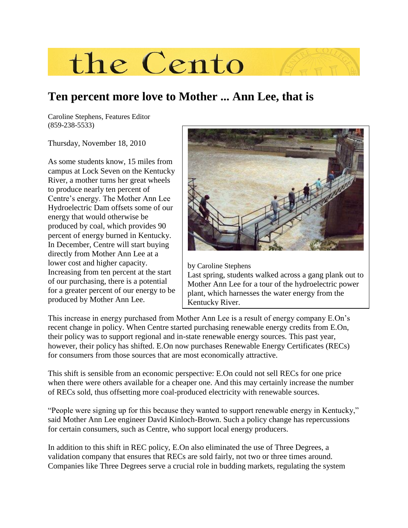

## **Ten percent more love to Mother ... Ann Lee, that is**

Caroline Stephens, Features Editor (859-238-5533)

Thursday, November 18, 2010

As some students know, 15 miles from campus at Lock Seven on the Kentucky River, a mother turns her great wheels to produce nearly ten percent of Centre's energy. The Mother Ann Lee Hydroelectric Dam offsets some of our energy that would otherwise be produced by coal, which provides 90 percent of energy burned in Kentucky. In December, Centre will start buying directly from Mother Ann Lee at a lower cost and higher capacity. Increasing from ten percent at the start of our purchasing, there is a potential for a greater percent of our energy to be produced by Mother Ann Lee.



by Caroline Stephens Last spring, students walked across a gang plank out to Mother Ann Lee for a tour of the hydroelectric power plant, which harnesses the water energy from the Kentucky River.

This increase in energy purchased from Mother Ann Lee is a result of energy company E.On's recent change in policy. When Centre started purchasing renewable energy credits from E.On, their policy was to support regional and in-state renewable energy sources. This past year, however, their policy has shifted. E.On now purchases Renewable Energy Certificates (RECs) for consumers from those sources that are most economically attractive.

This shift is sensible from an economic perspective: E.On could not sell RECs for one price when there were others available for a cheaper one. And this may certainly increase the number of RECs sold, thus offsetting more coal-produced electricity with renewable sources.

"People were signing up for this because they wanted to support renewable energy in Kentucky," said Mother Ann Lee engineer David Kinloch-Brown. Such a policy change has repercussions for certain consumers, such as Centre, who support local energy producers.

In addition to this shift in REC policy, E.On also eliminated the use of Three Degrees, a validation company that ensures that RECs are sold fairly, not two or three times around. Companies like Three Degrees serve a crucial role in budding markets, regulating the system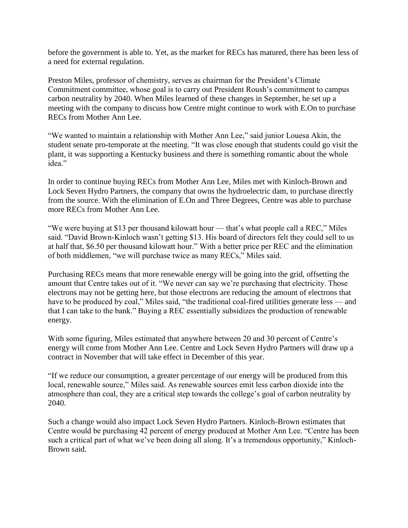before the government is able to. Yet, as the market for RECs has matured, there has been less of a need for external regulation.

Preston Miles, professor of chemistry, serves as chairman for the President's Climate Commitment committee, whose goal is to carry out President Roush's commitment to campus carbon neutrality by 2040. When Miles learned of these changes in September, he set up a meeting with the company to discuss how Centre might continue to work with E.On to purchase RECs from Mother Ann Lee.

"We wanted to maintain a relationship with Mother Ann Lee," said junior Louesa Akin, the student senate pro-temporate at the meeting. "It was close enough that students could go visit the plant, it was supporting a Kentucky business and there is something romantic about the whole idea."

In order to continue buying RECs from Mother Ann Lee, Miles met with Kinloch-Brown and Lock Seven Hydro Partners, the company that owns the hydroelectric dam, to purchase directly from the source. With the elimination of E.On and Three Degrees, Centre was able to purchase more RECs from Mother Ann Lee.

"We were buying at \$13 per thousand kilowatt hour — that's what people call a REC," Miles said. "David Brown-Kinloch wasn't getting \$13. His board of directors felt they could sell to us at half that, \$6.50 per thousand kilowatt hour." With a better price per REC and the elimination of both middlemen, "we will purchase twice as many RECs," Miles said.

Purchasing RECs means that more renewable energy will be going into the grid, offsetting the amount that Centre takes out of it. "We never can say we're purchasing that electricity. Those electrons may not be getting here, but those electrons are reducing the amount of electrons that have to be produced by coal," Miles said, "the traditional coal-fired utilities generate less — and that I can take to the bank." Buying a REC essentially subsidizes the production of renewable energy.

With some figuring, Miles estimated that anywhere between 20 and 30 percent of Centre's energy will come from Mother Ann Lee. Centre and Lock Seven Hydro Partners will draw up a contract in November that will take effect in December of this year.

"If we reduce our consumption, a greater percentage of our energy will be produced from this local, renewable source," Miles said. As renewable sources emit less carbon dioxide into the atmosphere than coal, they are a critical step towards the college's goal of carbon neutrality by 2040.

Such a change would also impact Lock Seven Hydro Partners. Kinloch-Brown estimates that Centre would be purchasing 42 percent of energy produced at Mother Ann Lee. "Centre has been such a critical part of what we've been doing all along. It's a tremendous opportunity," Kinloch-Brown said.